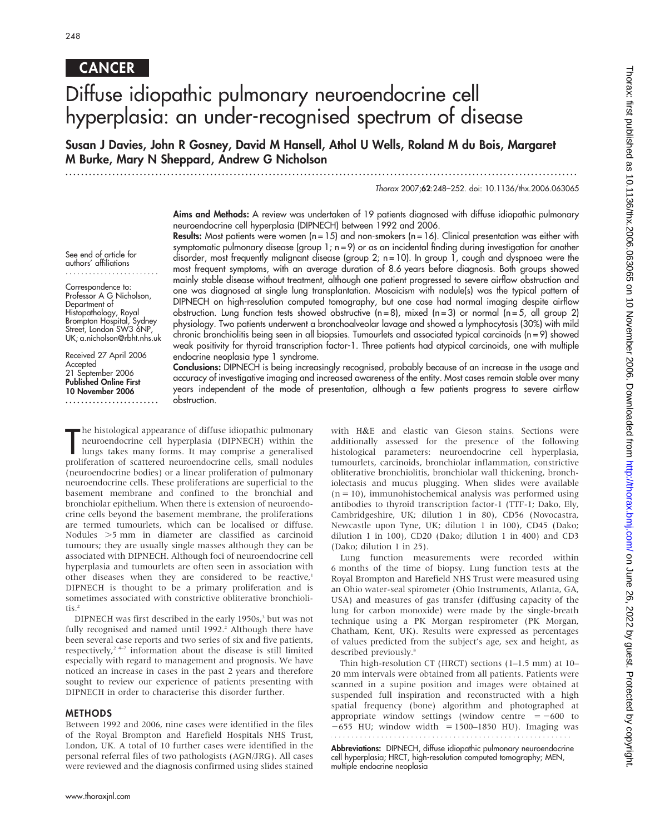# CANCER

# Diffuse idiopathic pulmonary neuroendocrine cell hyperplasia: an under-recognised spectrum of disease

Susan J Davies, John R Gosney, David M Hansell, Athol U Wells, Roland M du Bois, Margaret M Burke, Mary N Sheppard, Andrew G Nicholson ...................................................................................................................................

Thorax 2007;62:248–252. doi: 10.1136/thx.2006.063065

Aims and Methods: A review was undertaken of 19 patients diagnosed with diffuse idiopathic pulmonary neuroendocrine cell hyperplasia (DIPNECH) between 1992 and 2006.

See end of article for authors' affiliations ........................

Correspondence to: Professor A G Nicholson, Department of Histopathology, Royal Brompton Hospital, Sydney Street, London SW3 6NP, UK; a.nicholson@rbht.nhs.uk

Received 27 April 2006 Accepted 21 September 2006 Published Online First 10 November 2006 ........................

Results: Most patients were women  $(n = 15)$  and non-smokers  $(n = 16)$ . Clinical presentation was either with symptomatic pulmonary disease (group  $1; n = 9$ ) or as an incidental finding during investigation for another disorder, most frequently malignant disease (group 2; n = 10). In group 1, cough and dyspnoea were the most frequent symptoms, with an average duration of 8.6 years before diagnosis. Both groups showed mainly stable disease without treatment, although one patient progressed to severe airflow obstruction and one was diagnosed at single lung transplantation. Mosaicism with nodule(s) was the typical pattern of DIPNECH on high-resolution computed tomography, but one case had normal imaging despite airflow obstruction. Lung function tests showed obstructive  $(n=8)$ , mixed  $(n=3)$  or normal  $(n=5)$ , all group 2) physiology. Two patients underwent a bronchoalveolar lavage and showed a lymphocytosis (30%) with mild chronic bronchiolitis being seen in all biopsies. Tumourlets and associated typical carcinoids (n = 9) showed weak positivity for thyroid transcription factor-1. Three patients had atypical carcinoids, one with multiple endocrine neoplasia type 1 syndrome.

Conclusions: DIPNECH is being increasingly recognised, probably because of an increase in the usage and accuracy of investigative imaging and increased awareness of the entity. Most cases remain stable over many years independent of the mode of presentation, although a few patients progress to severe airflow obstruction.

The histological appearance of diffuse idiopathic pulmonary<br>
neuroendocrine cell hyperplasia (DIPNECH) within the<br>
lungs takes many forms. It may comprise a generalised<br>
proliferation of scattered neuroendocrine cells, sma he histological appearance of diffuse idiopathic pulmonary neuroendocrine cell hyperplasia (DIPNECH) within the lungs takes many forms. It may comprise a generalised (neuroendocrine bodies) or a linear proliferation of pulmonary neuroendocrine cells. These proliferations are superficial to the basement membrane and confined to the bronchial and bronchiolar epithelium. When there is extension of neuroendocrine cells beyond the basement membrane, the proliferations are termed tumourlets, which can be localised or diffuse. Nodules  $>5$  mm in diameter are classified as carcinoid tumours; they are usually single masses although they can be associated with DIPNECH. Although foci of neuroendocrine cell hyperplasia and tumourlets are often seen in association with other diseases when they are considered to be reactive,<sup>1</sup> DIPNECH is thought to be a primary proliferation and is sometimes associated with constrictive obliterative bronchiolitis.<sup>2</sup>

DIPNECH was first described in the early 1950s,<sup>3</sup> but was not fully recognised and named until 1992.<sup>2</sup> Although there have been several case reports and two series of six and five patients, respectively,<sup> $24-7$ </sup> information about the disease is still limited especially with regard to management and prognosis. We have noticed an increase in cases in the past 2 years and therefore sought to review our experience of patients presenting with DIPNECH in order to characterise this disorder further.

#### METHODS

Between 1992 and 2006, nine cases were identified in the files of the Royal Brompton and Harefield Hospitals NHS Trust, London, UK. A total of 10 further cases were identified in the personal referral files of two pathologists (AGN/JRG). All cases were reviewed and the diagnosis confirmed using slides stained with H&E and elastic van Gieson stains. Sections were additionally assessed for the presence of the following histological parameters: neuroendocrine cell hyperplasia, tumourlets, carcinoids, bronchiolar inflammation, constrictive obliterative bronchiolitis, bronchiolar wall thickening, bronchiolectasis and mucus plugging. When slides were available  $(n = 10)$ , immunohistochemical analysis was performed using antibodies to thyroid transcription factor-1 (TTF-1; Dako, Ely, Cambridgeshire, UK; dilution 1 in 80), CD56 (Novocastra, Newcastle upon Tyne, UK; dilution 1 in 100), CD45 (Dako; dilution 1 in 100), CD20 (Dako; dilution 1 in 400) and CD3 (Dako; dilution 1 in 25).

Lung function measurements were recorded within 6 months of the time of biopsy. Lung function tests at the Royal Brompton and Harefield NHS Trust were measured using an Ohio water-seal spirometer (Ohio Instruments, Atlanta, GA, USA) and measures of gas transfer (diffusing capacity of the lung for carbon monoxide) were made by the single-breath technique using a PK Morgan respirometer (PK Morgan, Chatham, Kent, UK). Results were expressed as percentages of values predicted from the subject's age, sex and height, as described previously.<sup>8</sup>

Thin high-resolution CT (HRCT) sections (1–1.5 mm) at 10– 20 mm intervals were obtained from all patients. Patients were scanned in a supine position and images were obtained at suspended full inspiration and reconstructed with a high spatial frequency (bone) algorithm and photographed at appropriate window settings (window centre  $= -600$  to  $-655$  HU; window width = 1500-1850 HU). Imaging was 

Abbreviations: DIPNECH, diffuse idiopathic pulmonary neuroendocrine cell hyperplasia; HRCT, high-resolution computed tomography; MEN, multiple endocrine neoplasia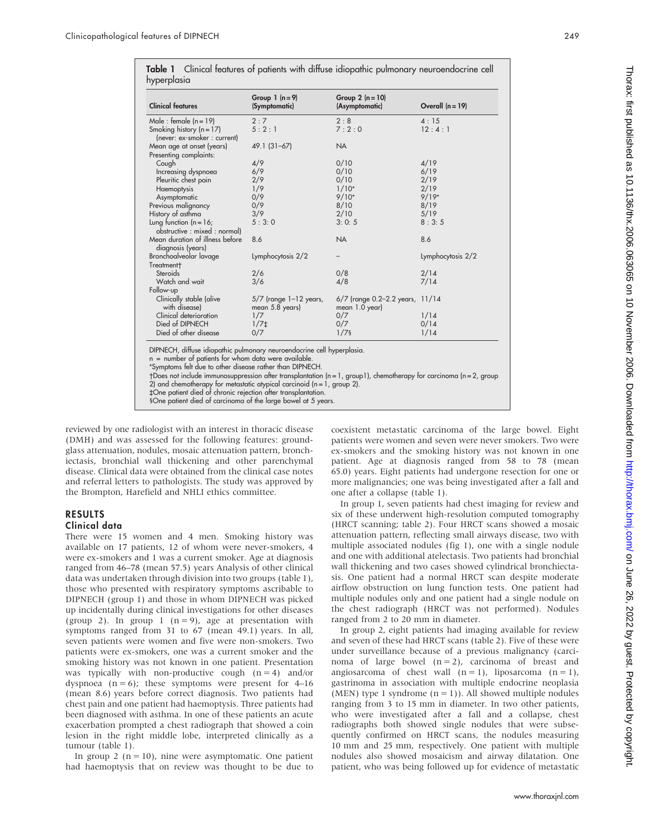| <b>Clinical features</b>                                     | Group $1(n=9)$<br>(Symptomatic) | Group $2(n = 10)$<br>(Asymptomatic) | Overall $(n = 19)$ |
|--------------------------------------------------------------|---------------------------------|-------------------------------------|--------------------|
| Male : female $(n = 19)$                                     | 2:7                             | 2:8                                 | 4:15               |
| Smoking history ( $n = 17$ )<br>(never: ex-smoker : current) | 5:2:1                           | 7:2:0                               | 12:4:1             |
| Mean age at onset (years)                                    | 49.1 (31-67)                    | <b>NA</b>                           |                    |
| Presenting complaints:                                       |                                 |                                     |                    |
| Cough                                                        | 4/9                             | 0/10                                | 4/19               |
| Increasing dyspnoea                                          | 6/9                             | 0/10                                | 6/19               |
| Pleuritic chest pain                                         | 2/9                             | 0/10                                | 2/19               |
| Haemoptysis                                                  | 1/9                             | $1/10*$                             | 2/19               |
| Asymptomatic                                                 | 0/9                             | $9/10*$                             | $9/19*$            |
| Previous malignancy                                          | 0/9                             | 8/10                                | 8/19               |
| History of asthma                                            | 3/9                             | 2/10                                | 5/19               |
| Lung function $(n = 16)$                                     | 5:3:0                           | 3:0:5                               | 8:3:5              |
| obstructive : mixed : normal)                                |                                 |                                     |                    |
| Mean duration of illness before                              | 8.6                             | <b>NA</b>                           | 8.6                |
| diagnosis (years)                                            |                                 |                                     |                    |
| Bronchoalveolar lavage                                       | Lymphocytosis 2/2               |                                     | Lymphocytosis 2/2  |
| Treatment <sup>+</sup>                                       |                                 |                                     |                    |
| Steroids                                                     | 2/6                             | 0/8                                 | 2/14               |
| Watch and wait                                               | 3/6                             | 4/8                                 | 7/14               |
| Follow-up                                                    |                                 |                                     |                    |
| Clinically stable (alive                                     | $5/7$ (range $1-12$ years,      | $6/7$ (range 0.2-2.2 years, 11/14   |                    |
| with disease)                                                | mean 5.8 years)                 | mean 1.0 year)                      |                    |
| Clinical deterioration                                       | 1/7                             | 0/7                                 | 1/14               |
| Died of DIPNECH                                              | $1/7$ $\pm$                     | 0/7                                 | 0/14               |
| Died of other disease                                        | 0/7                             | $1/7$ §                             | 1/14               |

Table 1 Clinical features of patients with diffuse idiopathic pulmonary neuroendocrine cell

 $n =$  number of patients for whom data were available

\*Symptoms felt due to other disease rather than DIPNECH.

-Does not include immunosuppression after transplantation (n = 1, group1), chemotherapy for carcinoma (n = 2, group

2) and chemotherapy for metastatic atypical carcinoid (n = 1, group 2). `One patient died of chronic rejection after transplantation.

8One patient died of carcinoma of the large bowel at 5 years.

reviewed by one radiologist with an interest in thoracic disease (DMH) and was assessed for the following features: groundglass attenuation, nodules, mosaic attenuation pattern, bronchiectasis, bronchial wall thickening and other parenchymal disease. Clinical data were obtained from the clinical case notes and referral letters to pathologists. The study was approved by the Brompton, Harefield and NHLI ethics committee.

## RESULTS

#### Clinical data

There were 15 women and 4 men. Smoking history was available on 17 patients, 12 of whom were never-smokers, 4 were ex-smokers and 1 was a current smoker. Age at diagnosis ranged from 46–78 (mean 57.5) years Analysis of other clinical data was undertaken through division into two groups (table 1), those who presented with respiratory symptoms ascribable to DIPNECH (group 1) and those in whom DIPNECH was picked up incidentally during clinical investigations for other diseases (group 2). In group 1 ( $n = 9$ ), age at presentation with symptoms ranged from 31 to 67 (mean 49.1) years. In all, seven patients were women and five were non-smokers. Two patients were ex-smokers, one was a current smoker and the smoking history was not known in one patient. Presentation was typically with non-productive cough  $(n = 4)$  and/or dyspnoea  $(n = 6)$ ; these symptoms were present for 4–16 (mean 8.6) years before correct diagnosis. Two patients had chest pain and one patient had haemoptysis. Three patients had been diagnosed with asthma. In one of these patients an acute exacerbation prompted a chest radiograph that showed a coin lesion in the right middle lobe, interpreted clinically as a tumour (table 1).

In group 2 ( $n = 10$ ), nine were asymptomatic. One patient had haemoptysis that on review was thought to be due to

coexistent metastatic carcinoma of the large bowel. Eight patients were women and seven were never smokers. Two were ex-smokers and the smoking history was not known in one patient. Age at diagnosis ranged from 58 to 78 (mean 65.0) years. Eight patients had undergone resection for one or more malignancies; one was being investigated after a fall and one after a collapse (table 1).

In group 1, seven patients had chest imaging for review and six of these underwent high-resolution computed tomography (HRCT scanning; table 2). Four HRCT scans showed a mosaic attenuation pattern, reflecting small airways disease, two with multiple associated nodules (fig 1), one with a single nodule and one with additional atelectasis. Two patients had bronchial wall thickening and two cases showed cylindrical bronchiectasis. One patient had a normal HRCT scan despite moderate airflow obstruction on lung function tests. One patient had multiple nodules only and one patient had a single nodule on the chest radiograph (HRCT was not performed). Nodules ranged from 2 to 20 mm in diameter.

In group 2, eight patients had imaging available for review and seven of these had HRCT scans (table 2). Five of these were under surveillance because of a previous malignancy (carcinoma of large bowel  $(n = 2)$ , carcinoma of breast and angiosarcoma of chest wall  $(n = 1)$ , liposarcoma  $(n = 1)$ , gastrinoma in association with multiple endocrine neoplasia (MEN) type 1 syndrome  $(n = 1)$ ). All showed multiple nodules ranging from 3 to 15 mm in diameter. In two other patients, who were investigated after a fall and a collapse, chest radiographs both showed single nodules that were subsequently confirmed on HRCT scans, the nodules measuring 10 mm and 25 mm, respectively. One patient with multiple nodules also showed mosaicism and airway dilatation. One patient, who was being followed up for evidence of metastatic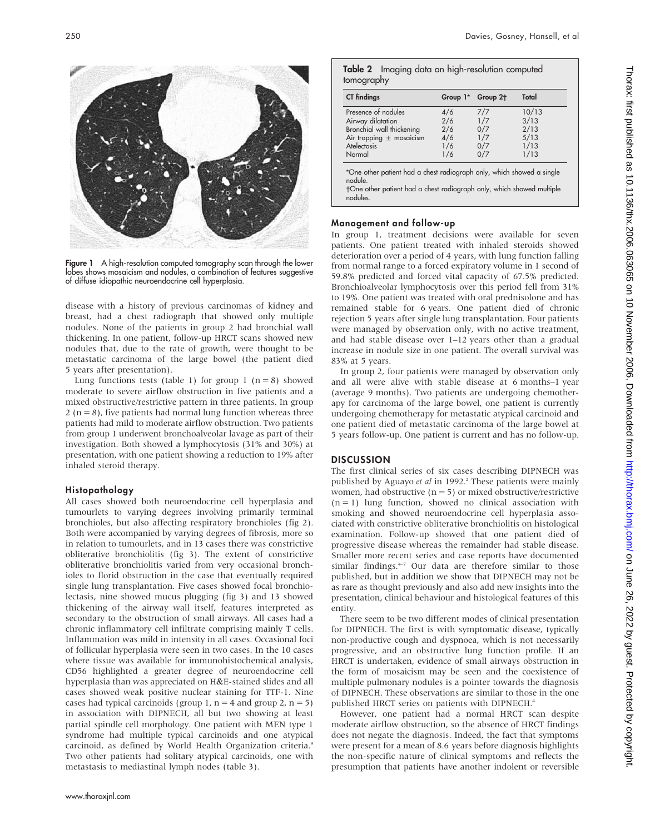**Figure 1** A high-resolution computed tomography scan through the lower lobes shows mosaicism and nodules, a combination of features suggestive of diffuse idiopathic neuroendocrine cell hyperplasia.

disease with a history of previous carcinomas of kidney and breast, had a chest radiograph that showed only multiple nodules. None of the patients in group 2 had bronchial wall thickening. In one patient, follow-up HRCT scans showed new nodules that, due to the rate of growth, were thought to be metastatic carcinoma of the large bowel (the patient died 5 years after presentation).

Lung functions tests (table 1) for group 1 ( $n = 8$ ) showed moderate to severe airflow obstruction in five patients and a mixed obstructive/restrictive pattern in three patients. In group 2 ( $n = 8$ ), five patients had normal lung function whereas three patients had mild to moderate airflow obstruction. Two patients from group 1 underwent bronchoalveolar lavage as part of their investigation. Both showed a lymphocytosis (31% and 30%) at presentation, with one patient showing a reduction to 19% after inhaled steroid therapy.

#### Histopathology

All cases showed both neuroendocrine cell hyperplasia and tumourlets to varying degrees involving primarily terminal bronchioles, but also affecting respiratory bronchioles (fig 2). Both were accompanied by varying degrees of fibrosis, more so in relation to tumourlets, and in 13 cases there was constrictive obliterative bronchiolitis (fig 3). The extent of constrictive obliterative bronchiolitis varied from very occasional bronchioles to florid obstruction in the case that eventually required single lung transplantation. Five cases showed focal bronchiolectasis, nine showed mucus plugging (fig 3) and 13 showed thickening of the airway wall itself, features interpreted as secondary to the obstruction of small airways. All cases had a chronic inflammatory cell infiltrate comprising mainly T cells. Inflammation was mild in intensity in all cases. Occasional foci of follicular hyperplasia were seen in two cases. In the 10 cases where tissue was available for immunohistochemical analysis, CD56 highlighted a greater degree of neuroendocrine cell hyperplasia than was appreciated on H&E-stained slides and all cases showed weak positive nuclear staining for TTF-1. Nine cases had typical carcinoids (group 1,  $n = 4$  and group 2,  $n = 5$ ) in association with DIPNECH, all but two showing at least partial spindle cell morphology. One patient with MEN type 1 syndrome had multiple typical carcinoids and one atypical carcinoid, as defined by World Health Organization criteria.9 Two other patients had solitary atypical carcinoids, one with metastasis to mediastinal lymph nodes (table 3).

Table 2 Imaging data on high-resolution computed tomography

| <b>CT</b> findings                                                   |     | Group 1* Group 2t | Total |  |
|----------------------------------------------------------------------|-----|-------------------|-------|--|
| Presence of nodules                                                  | 4/6 | 7/7               | 10/13 |  |
| Airway dilatation                                                    | 2/6 | 1/7               | 3/13  |  |
| Bronchial wall thickening                                            | 2/6 | 0/7               | 2/13  |  |
| Air trapping $\pm$ mosaicism                                         | 4/6 | 1/7               | 5/13  |  |
| Atelectasis                                                          | 1/6 | 0/7               | 1/13  |  |
| Normal                                                               | 1/6 | 0/7               | 1/13  |  |
| *One other patient had a chest radioaraph only which showed a single |     |                   |       |  |

\*One other patient had a chest radiograph only, which showed a single nodule.

-One other patient had a chest radiograph only, which showed multiple nodules.

#### Management and follow-up

In group 1, treatment decisions were available for seven patients. One patient treated with inhaled steroids showed deterioration over a period of 4 years, with lung function falling from normal range to a forced expiratory volume in 1 second of 59.8% predicted and forced vital capacity of 67.5% predicted. Bronchioalveolar lymphocytosis over this period fell from 31% to 19%. One patient was treated with oral prednisolone and has remained stable for 6 years. One patient died of chronic rejection 5 years after single lung transplantation. Four patients were managed by observation only, with no active treatment, and had stable disease over 1–12 years other than a gradual increase in nodule size in one patient. The overall survival was 83% at 5 years.

In group 2, four patients were managed by observation only and all were alive with stable disease at 6 months–1 year (average 9 months). Two patients are undergoing chemotherapy for carcinoma of the large bowel, one patient is currently undergoing chemotherapy for metastatic atypical carcinoid and one patient died of metastatic carcinoma of the large bowel at 5 years follow-up. One patient is current and has no follow-up.

#### **DISCUSSION**

The first clinical series of six cases describing DIPNECH was published by Aguayo et al in 1992.<sup>2</sup> These patients were mainly women, had obstructive ( $n = 5$ ) or mixed obstructive/restrictive  $(n = 1)$  lung function, showed no clinical association with smoking and showed neuroendocrine cell hyperplasia associated with constrictive obliterative bronchiolitis on histological examination. Follow-up showed that one patient died of progressive disease whereas the remainder had stable disease. Smaller more recent series and case reports have documented similar findings.<sup>4-7</sup> Our data are therefore similar to those published, but in addition we show that DIPNECH may not be as rare as thought previously and also add new insights into the presentation, clinical behaviour and histological features of this entity.

There seem to be two different modes of clinical presentation for DIPNECH. The first is with symptomatic disease, typically non-productive cough and dyspnoea, which is not necessarily progressive, and an obstructive lung function profile. If an HRCT is undertaken, evidence of small airways obstruction in the form of mosaicism may be seen and the coexistence of multiple pulmonary nodules is a pointer towards the diagnosis of DIPNECH. These observations are similar to those in the one published HRCT series on patients with DIPNECH.<sup>4</sup>

However, one patient had a normal HRCT scan despite moderate airflow obstruction, so the absence of HRCT findings does not negate the diagnosis. Indeed, the fact that symptoms were present for a mean of 8.6 years before diagnosis highlights the non-specific nature of clinical symptoms and reflects the presumption that patients have another indolent or reversible

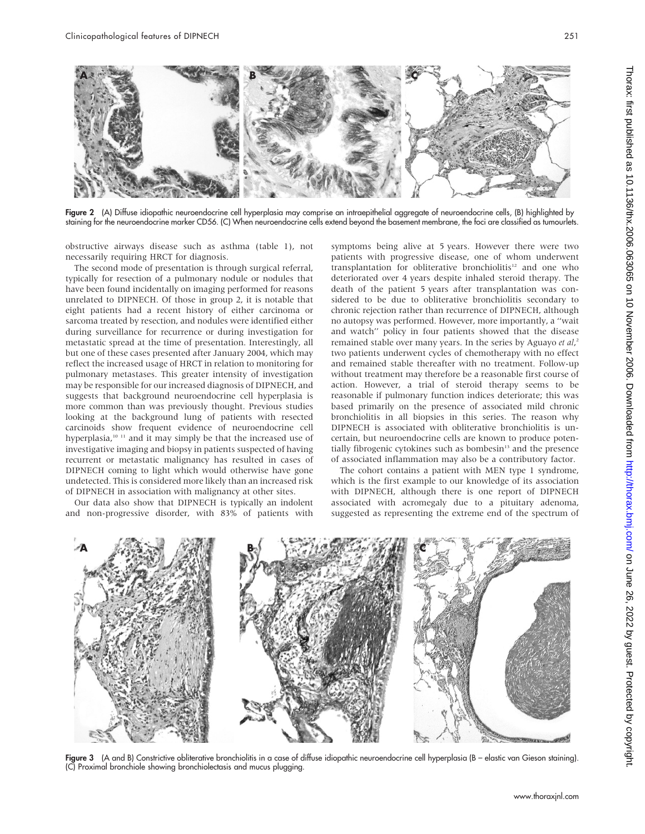

Figure 2 (A) Diffuse idiopathic neuroendocrine cell hyperplasia may comprise an intraepithelial aggregate of neuroendocrine cells, (B) highlighted by staining for the neuroendocrine marker CD56. (C) When neuroendocrine cells extend beyond the basement membrane, the foci are classified as tumourlets.

obstructive airways disease such as asthma (table 1), not necessarily requiring HRCT for diagnosis.

The second mode of presentation is through surgical referral, typically for resection of a pulmonary nodule or nodules that have been found incidentally on imaging performed for reasons unrelated to DIPNECH. Of those in group 2, it is notable that eight patients had a recent history of either carcinoma or sarcoma treated by resection, and nodules were identified either during surveillance for recurrence or during investigation for metastatic spread at the time of presentation. Interestingly, all but one of these cases presented after January 2004, which may reflect the increased usage of HRCT in relation to monitoring for pulmonary metastases. This greater intensity of investigation may be responsible for our increased diagnosis of DIPNECH, and suggests that background neuroendocrine cell hyperplasia is more common than was previously thought. Previous studies looking at the background lung of patients with resected carcinoids show frequent evidence of neuroendocrine cell hyperplasia,<sup>10 11</sup> and it may simply be that the increased use of investigative imaging and biopsy in patients suspected of having recurrent or metastatic malignancy has resulted in cases of DIPNECH coming to light which would otherwise have gone undetected. This is considered more likely than an increased risk of DIPNECH in association with malignancy at other sites.

Our data also show that DIPNECH is typically an indolent and non-progressive disorder, with 83% of patients with

symptoms being alive at 5 years. However there were two patients with progressive disease, one of whom underwent transplantation for obliterative bronchiolitis<sup>12</sup> and one who deteriorated over 4 years despite inhaled steroid therapy. The death of the patient 5 years after transplantation was considered to be due to obliterative bronchiolitis secondary to chronic rejection rather than recurrence of DIPNECH, although no autopsy was performed. However, more importantly, a ''wait and watch'' policy in four patients showed that the disease remained stable over many years. In the series by Aguayo et al,<sup>2</sup> two patients underwent cycles of chemotherapy with no effect and remained stable thereafter with no treatment. Follow-up without treatment may therefore be a reasonable first course of action. However, a trial of steroid therapy seems to be reasonable if pulmonary function indices deteriorate; this was based primarily on the presence of associated mild chronic bronchiolitis in all biopsies in this series. The reason why DIPNECH is associated with obliterative bronchiolitis is uncertain, but neuroendocrine cells are known to produce potentially fibrogenic cytokines such as bombesin<sup>13</sup> and the presence of associated inflammation may also be a contributory factor.

The cohort contains a patient with MEN type 1 syndrome, which is the first example to our knowledge of its association with DIPNECH, although there is one report of DIPNECH associated with acromegaly due to a pituitary adenoma, suggested as representing the extreme end of the spectrum of



Figure 3 (A and B) Constrictive obliterative bronchiolitis in a case of diffuse idiopathic neuroendocrine cell hyperplasia (B – elastic van Gieson staining). (C) Proximal bronchiole showing bronchiolectasis and mucus plugging.